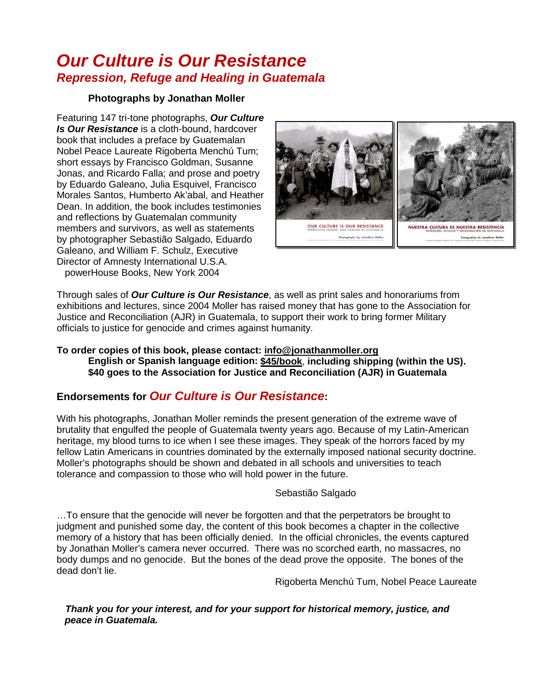## *Our Culture is Our Resistance Repression, Refuge and Healing in Guatemala*

#### **Photographs by Jonathan Moller**

Featuring 147 tri-tone photographs, *Our Culture Is Our Resistance* is a cloth-bound, hardcover book that includes a preface by Guatemalan Nobel Peace Laureate Rigoberta Menchú Tum; short essays by Francisco Goldman, Susanne Jonas, and Ricardo Falla; and prose and poetry by Eduardo Galeano, Julia Esquivel, Francisco Morales Santos, Humberto Ak'abal, and Heather Dean. In addition, the book includes testimonies and reflections by Guatemalan community members and survivors, as well as statements by photographer Sebastião Salgado, Eduardo Galeano, and William F. Schulz, Executive Director of Amnesty International U.S.A. powerHouse Books, New York 2004



Through sales of *Our Culture is Our Resistance*, as well as print sales and honorariums from exhibitions and lectures, since 2004 Moller has raised money that has gone to the Association for Justice and Reconciliation (AJR) in Guatemala, to support their work to bring former Military officials to justice for genocide and crimes against humanity.

#### **To order copies of this book, please contact: info@jonathanmoller.org English or Spanish language edition: \$45/book** , **including shipping (within the US). \$40 goes to the Association for Justice and Reconciliation (AJR) in Guatemala**

## **Endorsements for** *Our Culture is Our Resistance***:**

With his photographs, Jonathan Moller reminds the present generation of the extreme wave of brutality that engulfed the people of Guatemala twenty years ago. Because of my Latin-American heritage, my blood turns to ice when I see these images. They speak of the horrors faced by my fellow Latin Americans in countries dominated by the externally imposed national security doctrine. Moller's photographs should be shown and debated in all schools and universities to teach tolerance and compassion to those who will hold power in the future.

#### Sebastião Salgado

…To ensure that the genocide will never be forgotten and that the perpetrators be brought to judgment and punished some day, the content of this book becomes a chapter in the collective memory of a history that has been officially denied. In the official chronicles, the events captured by Jonathan Moller's camera never occurred. There was no scorched earth, no massacres, no body dumps and no genocide. But the bones of the dead prove the opposite. The bones of the dead don't lie.

Rigoberta Menchú Tum, Nobel Peace Laureate

 *Thank you for your interest, and for your support for historical memory, justice, and peace in Guatemala.*